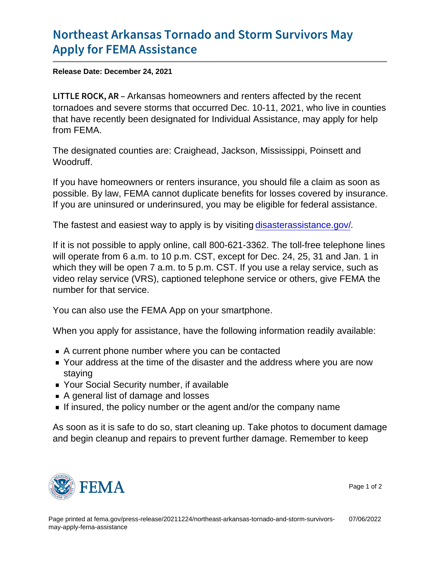## [Northeast Arkansas Tornado and](https://www.fema.gov/press-release/20211224/northeast-arkansas-tornado-and-storm-survivors-may-apply-fema-assistance) Storm Su [Apply for FEMA](https://www.fema.gov/press-release/20211224/northeast-arkansas-tornado-and-storm-survivors-may-apply-fema-assistance) Assistance

Release Date: December 24, 2021

LITTLE  $R$  O  $\alpha$ K ans a R homeowners and renters affected by the recent tornadoes and severe storms that occurred Dec. 10-11, 2021, who live in counties that have recently been designated for Individual Assistance, may apply for help from FEMA.

The designated counties are: Craighead, Jackson, Mississippi, Poinsett and Woodruff.

If you have homeowners or renters insurance, you should file a claim as soon as possible. By law, FEMA cannot duplicate benefits for losses covered by insurance. If you are uninsured or underinsured, you may be eligible for federal assistance.

The fastest and easiest way to apply is by visiting [disasterassistance.gov/](http://www.disasterassistance.gov/).

If it is not possible to apply online, call 800-621-3362. The toll-free telephone lines will operate from 6 a.m. to 10 p.m. CST, except for Dec. 24, 25, 31 and Jan. 1 in which they will be open 7 a.m. to 5 p.m. CST. If you use a relay service, such as video relay service (VRS), captioned telephone service or others, give FEMA the number for that service.

You can also use the FEMA App on your smartphone.

When you apply for assistance, have the following information readily available:

- A current phone number where you can be contacted
- Your address at the time of the disaster and the address where you are now staying
- Your Social Security number, if available
- A general list of damage and losses
- If insured, the policy number or the agent and/or the company name

As soon as it is safe to do so, start cleaning up. Take photos to document damage and begin cleanup and repairs to prevent further damage. Remember to keep



Page 1 of 2